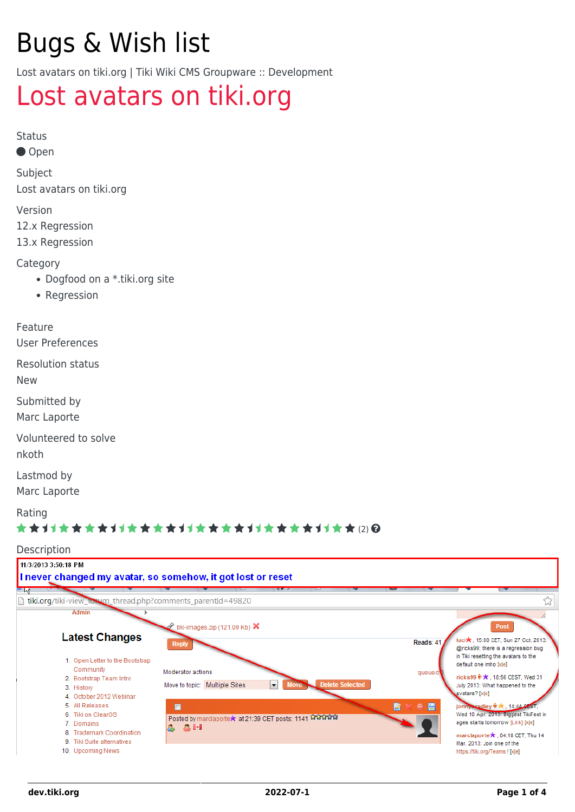# Bugs & Wish list

Lost avatars on tiki.org | Tiki Wiki CMS Groupware :: Development

## [Lost avatars on tiki.org](https://dev.tiki.org/item4868-Lost-avatars-on-tiki-org)

Status

● Open

Subject Lost avatars on tiki.org

Version

12.x Regression

13.x Regression

**Category** 

- Dogfood on a \*.tiki.org site
- Regression

Feature

User Preferences

Resolution status

New

Submitted by Marc Laporte

Volunteered to solve

nkoth

Lastmod by

Marc Laporte

Rating

#### ★★オオ★★★★オオ★★★★オオ★★★★オオ★★★★1オ★★ ⑵ Q

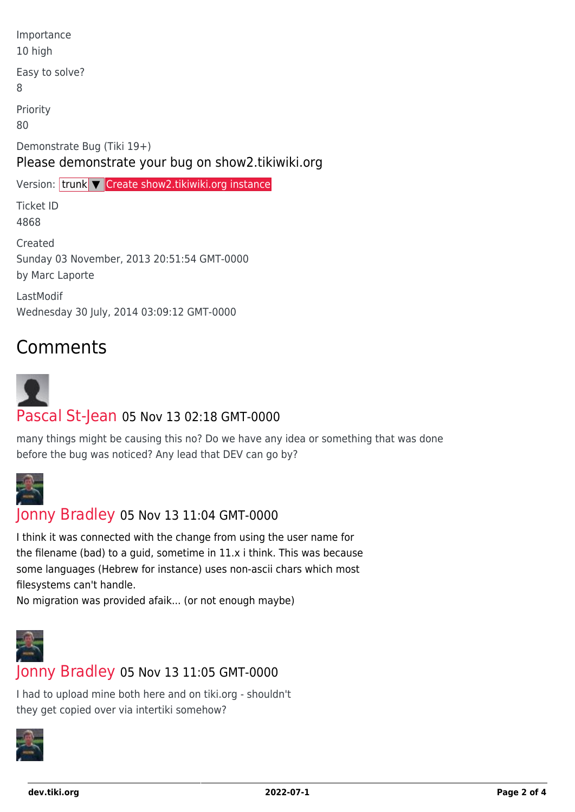| Importance<br>10 high                                                           |
|---------------------------------------------------------------------------------|
| Easy to solve?<br>8                                                             |
| Priority<br>80                                                                  |
| Demonstrate Bug (Tiki 19+)<br>Please demonstrate your bug on show2.tikiwiki.org |
| Version: trunk V Create show2.tikiwiki.org instance                             |
| <b>Ticket ID</b><br>4868                                                        |
| Created<br>Sunday 03 November, 2013 20:51:54 GMT-0000<br>by Marc Laporte        |
| LastModif<br>Wednesday 30 July, 2014 03:09:12 GMT-0000                          |

### Comments

# [Pascal St-Jean](https://dev.tiki.org/user10536) 05 Nov 13 02:18 GMT-0000

many things might be causing this no? Do we have any idea or something that was done before the bug was noticed? Any lead that DEV can go by?



#### [Jonny Bradley](https://dev.tiki.org/user8515) 05 Nov 13 11:04 GMT-0000

I think it was connected with the change from using the user name for the filename (bad) to a guid, sometime in 11.x i think. This was because some languages (Hebrew for instance) uses non-ascii chars which most filesystems can't handle.

No migration was provided afaik... (or not enough maybe)



#### [Jonny Bradley](https://dev.tiki.org/user8515) 05 Nov 13 11:05 GMT-0000

I had to upload mine both here and on tiki.org - shouldn't they get copied over via intertiki somehow?

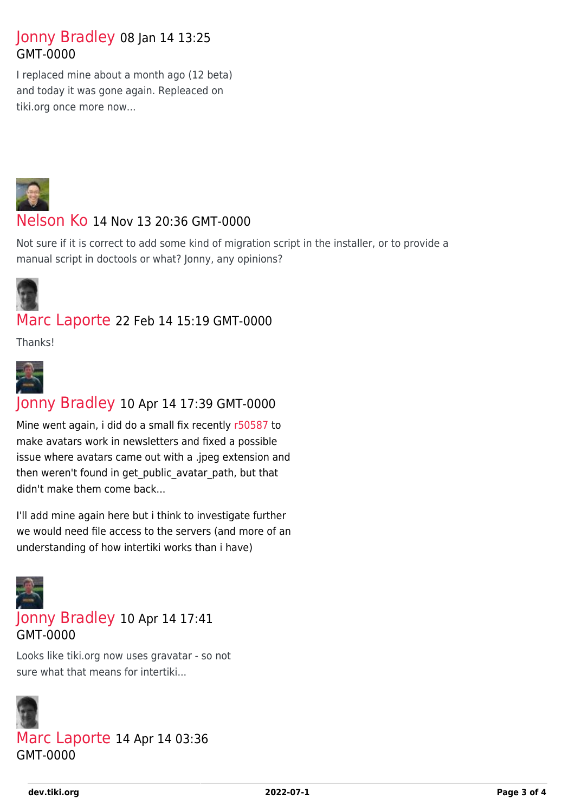#### [Jonny Bradley](https://dev.tiki.org/user8515) 08 Jan 14 13:25 GMT-0000

I replaced mine about a month ago (12 beta) and today it was gone again. Repleaced on tiki.org once more now...



#### [Nelson Ko](https://dev.tiki.org/user9801) 14 Nov 13 20:36 GMT-0000

Not sure if it is correct to add some kind of migration script in the installer, or to provide a manual script in doctools or what? Jonny, any opinions?



#### [Marc Laporte](https://dev.tiki.org/user11197) 22 Feb 14 15:19 GMT-0000

Thanks!



#### [Jonny Bradley](https://dev.tiki.org/user8515) 10 Apr 14 17:39 GMT-0000

Mine went again, i did do a small fix recently [r50587](http://sourceforge.net/p/tikiwiki/code/50587) to make avatars work in newsletters and fixed a possible issue where avatars came out with a .jpeg extension and then weren't found in get public avatar path, but that didn't make them come back...

I'll add mine again here but i think to investigate further we would need file access to the servers (and more of an understanding of how intertiki works than i have)



#### [Jonny Bradley](https://dev.tiki.org/user8515) 10 Apr 14 17:41 GMT-0000

Looks like tiki.org now uses gravatar - so not sure what that means for intertiki...



[Marc Laporte](https://dev.tiki.org/user11197) 14 Apr 14 03:36 GMT-0000